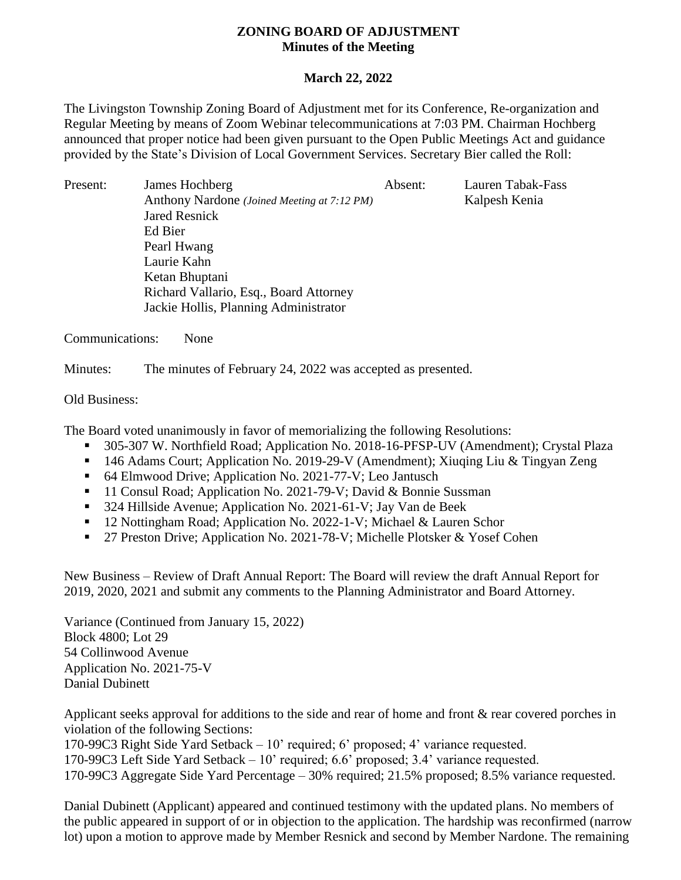## **ZONING BOARD OF ADJUSTMENT Minutes of the Meeting**

## **March 22, 2022**

The Livingston Township Zoning Board of Adjustment met for its Conference, Re-organization and Regular Meeting by means of Zoom Webinar telecommunications at 7:03 PM. Chairman Hochberg announced that proper notice had been given pursuant to the Open Public Meetings Act and guidance provided by the State's Division of Local Government Services. Secretary Bier called the Roll:

Present: James Hochberg Absent: Lauren Tabak-Fass Anthony Nardone (Joined Meeting at 7:12 PM) Kalpesh Kenia Jared Resnick Ed Bier Pearl Hwang Laurie Kahn Ketan Bhuptani Richard Vallario, Esq., Board Attorney Jackie Hollis, Planning Administrator

Communications: None

Minutes: The minutes of February 24, 2022 was accepted as presented.

## Old Business:

The Board voted unanimously in favor of memorializing the following Resolutions:

- 305-307 W. Northfield Road; Application No. 2018-16-PFSP-UV (Amendment); Crystal Plaza
- 146 Adams Court; Application No. 2019-29-V (Amendment); Xiuqing Liu & Tingyan Zeng
- 64 Elmwood Drive; Application No. 2021-77-V; Leo Jantusch
- <sup>11</sup> Consul Road; Application No. 2021-79-V; David & Bonnie Sussman
- <sup>324</sup> Hillside Avenue; Application No. 2021-61-V; Jay Van de Beek
- <sup>12</sup> Nottingham Road; Application No. 2022-1-V; Michael & Lauren Schor
- 27 Preston Drive; Application No. 2021-78-V; Michelle Plotsker & Yosef Cohen

New Business – Review of Draft Annual Report: The Board will review the draft Annual Report for 2019, 2020, 2021 and submit any comments to the Planning Administrator and Board Attorney.

Variance (Continued from January 15, 2022) Block 4800; Lot 29 54 Collinwood Avenue Application No. 2021-75-V Danial Dubinett

Applicant seeks approval for additions to the side and rear of home and front & rear covered porches in violation of the following Sections:

170-99C3 Right Side Yard Setback – 10' required; 6' proposed; 4' variance requested.

170-99C3 Left Side Yard Setback – 10' required; 6.6' proposed; 3.4' variance requested.

170-99C3 Aggregate Side Yard Percentage – 30% required; 21.5% proposed; 8.5% variance requested.

Danial Dubinett (Applicant) appeared and continued testimony with the updated plans. No members of the public appeared in support of or in objection to the application. The hardship was reconfirmed (narrow lot) upon a motion to approve made by Member Resnick and second by Member Nardone. The remaining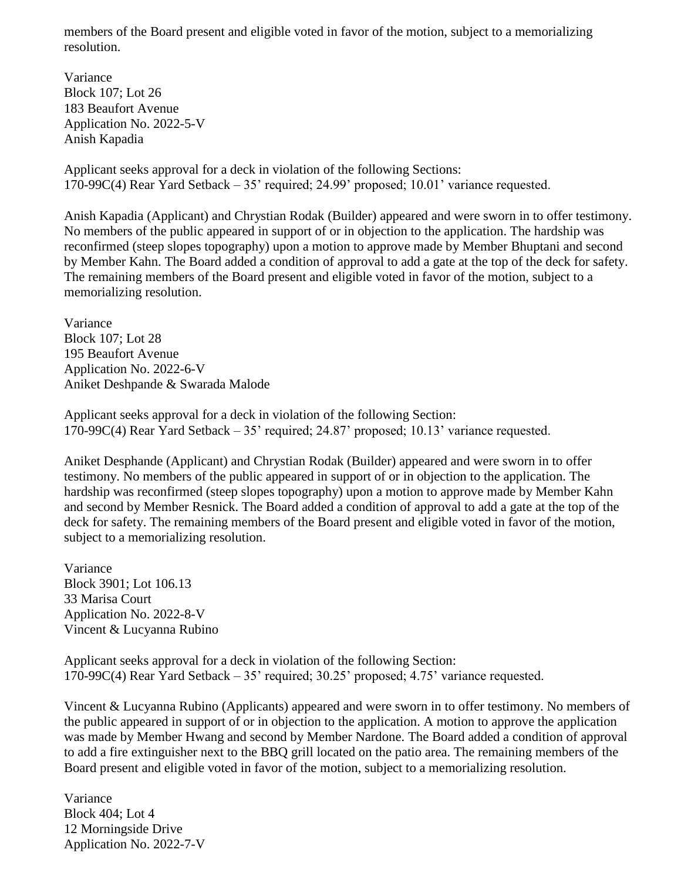members of the Board present and eligible voted in favor of the motion, subject to a memorializing resolution.

Variance Block 107; Lot 26 183 Beaufort Avenue Application No. 2022-5-V Anish Kapadia

Applicant seeks approval for a deck in violation of the following Sections: 170-99C(4) Rear Yard Setback – 35' required; 24.99' proposed; 10.01' variance requested.

Anish Kapadia (Applicant) and Chrystian Rodak (Builder) appeared and were sworn in to offer testimony. No members of the public appeared in support of or in objection to the application. The hardship was reconfirmed (steep slopes topography) upon a motion to approve made by Member Bhuptani and second by Member Kahn. The Board added a condition of approval to add a gate at the top of the deck for safety. The remaining members of the Board present and eligible voted in favor of the motion, subject to a memorializing resolution.

Variance Block 107; Lot 28 195 Beaufort Avenue Application No. 2022-6-V Aniket Deshpande & Swarada Malode

Applicant seeks approval for a deck in violation of the following Section: 170-99C(4) Rear Yard Setback – 35' required; 24.87' proposed; 10.13' variance requested.

Aniket Desphande (Applicant) and Chrystian Rodak (Builder) appeared and were sworn in to offer testimony. No members of the public appeared in support of or in objection to the application. The hardship was reconfirmed (steep slopes topography) upon a motion to approve made by Member Kahn and second by Member Resnick. The Board added a condition of approval to add a gate at the top of the deck for safety. The remaining members of the Board present and eligible voted in favor of the motion, subject to a memorializing resolution.

Variance Block 3901; Lot 106.13 33 Marisa Court Application No. 2022-8-V Vincent & Lucyanna Rubino

Applicant seeks approval for a deck in violation of the following Section: 170-99C(4) Rear Yard Setback – 35' required; 30.25' proposed; 4.75' variance requested.

Vincent & Lucyanna Rubino (Applicants) appeared and were sworn in to offer testimony. No members of the public appeared in support of or in objection to the application. A motion to approve the application was made by Member Hwang and second by Member Nardone. The Board added a condition of approval to add a fire extinguisher next to the BBQ grill located on the patio area. The remaining members of the Board present and eligible voted in favor of the motion, subject to a memorializing resolution.

Variance Block 404; Lot 4 12 Morningside Drive Application No. 2022-7-V